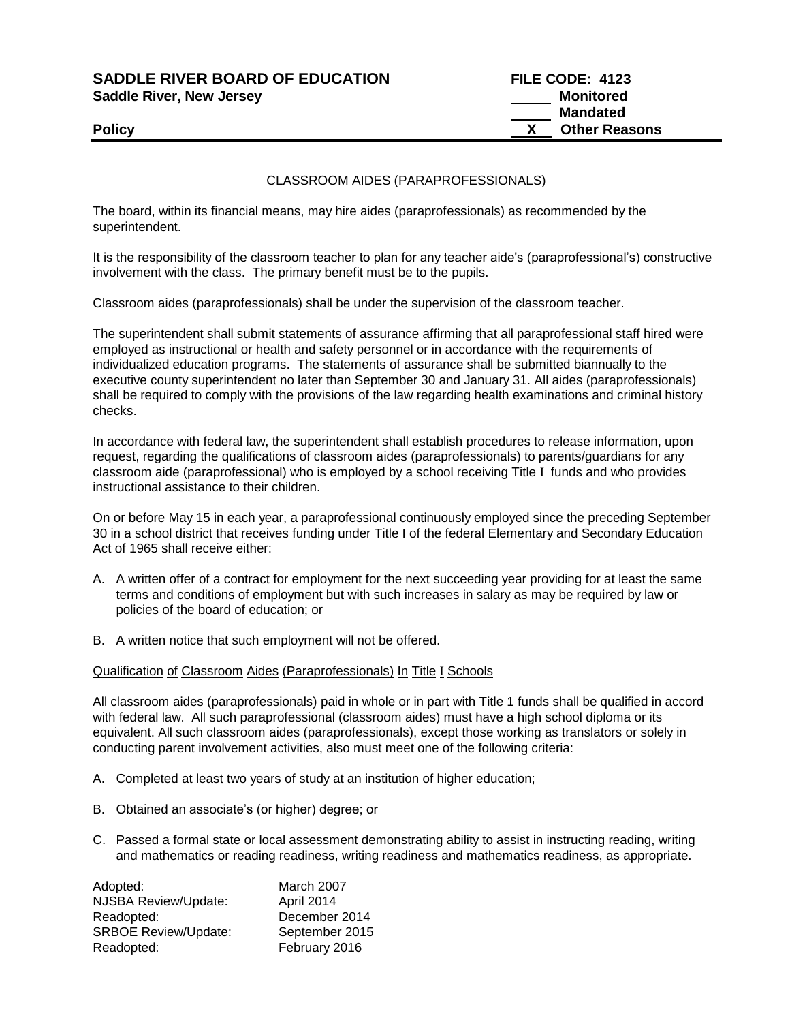**SADDLE RIVER BOARD OF EDUCATION FILE CODE: 4123 Saddle River, New Jersey Monitored** 

 **Mandated Policy X** Other Reasons

## CLASSROOM AIDES (PARAPROFESSIONALS)

The board, within its financial means, may hire aides (paraprofessionals) as recommended by the superintendent.

It is the responsibility of the classroom teacher to plan for any teacher aide's (paraprofessional's) constructive involvement with the class. The primary benefit must be to the pupils.

Classroom aides (paraprofessionals) shall be under the supervision of the classroom teacher.

The superintendent shall submit statements of assurance affirming that all paraprofessional staff hired were employed as instructional or health and safety personnel or in accordance with the requirements of individualized education programs. The statements of assurance shall be submitted biannually to the executive county superintendent no later than September 30 and January 31. All aides (paraprofessionals) shall be required to comply with the provisions of the law regarding health examinations and criminal history checks.

In accordance with federal law, the superintendent shall establish procedures to release information, upon request, regarding the qualifications of classroom aides (paraprofessionals) to parents/guardians for any classroom aide (paraprofessional) who is employed by a school receiving Title I funds and who provides instructional assistance to their children.

On or before May 15 in each year, a paraprofessional continuously employed since the preceding September 30 in a school district that receives funding under Title I of the federal Elementary and Secondary Education Act of 1965 shall receive either:

- A. A written offer of a contract for employment for the next succeeding year providing for at least the same terms and conditions of employment but with such increases in salary as may be required by law or policies of the board of education; or
- B. A written notice that such employment will not be offered.

### Qualification of Classroom Aides (Paraprofessionals) In Title I Schools

All classroom aides (paraprofessionals) paid in whole or in part with Title 1 funds shall be qualified in accord with federal law. All such paraprofessional (classroom aides) must have a high school diploma or its equivalent. All such classroom aides (paraprofessionals), except those working as translators or solely in conducting parent involvement activities, also must meet one of the following criteria:

- A. Completed at least two years of study at an institution of higher education;
- B. Obtained an associate's (or higher) degree; or
- C. Passed a formal state or local assessment demonstrating ability to assist in instructing reading, writing and mathematics or reading readiness, writing readiness and mathematics readiness, as appropriate.

| Adopted:                    | March 2007     |
|-----------------------------|----------------|
| NJSBA Review/Update:        | April 2014     |
| Readopted:                  | December 2014  |
| <b>SRBOE Review/Update:</b> | September 2015 |
| Readopted:                  | February 2016  |